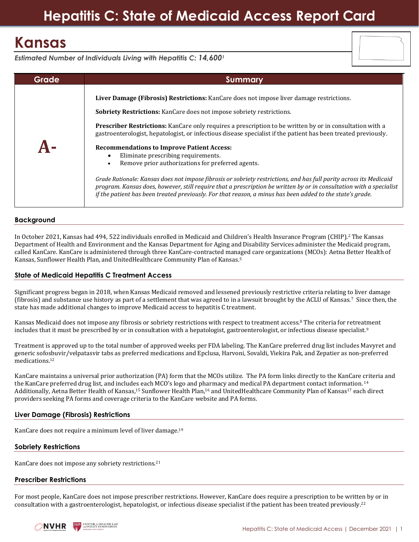# **Hepatitis C: State of Medicaid Access Report Card**

## **Kansas**

*Estimated Number of Individuals Living with Hepatitis C: 14,600<sup>1</sup>*

| Grade | Summary                                                                                                                                                                                                                                                                                                                                                |
|-------|--------------------------------------------------------------------------------------------------------------------------------------------------------------------------------------------------------------------------------------------------------------------------------------------------------------------------------------------------------|
|       | Liver Damage (Fibrosis) Restrictions: KanCare does not impose liver damage restrictions.                                                                                                                                                                                                                                                               |
|       | <b>Sobriety Restrictions:</b> KanCare does not impose sobriety restrictions.                                                                                                                                                                                                                                                                           |
|       | <b>Prescriber Restrictions:</b> KanCare only requires a prescription to be written by or in consultation with a<br>gastroenterologist, hepatologist, or infectious disease specialist if the patient has been treated previously.                                                                                                                      |
|       | <b>Recommendations to Improve Patient Access:</b><br>Eliminate prescribing requirements.<br>٠<br>Remove prior authorizations for preferred agents.                                                                                                                                                                                                     |
|       | Grade Rationale: Kansas does not impose fibrosis or sobriety restrictions, and has full parity across its Medicaid<br>program. Kansas does, however, still require that a prescription be written by or in consultation with a specialist<br>if the patient has been treated previously. For that reason, a minus has been added to the state's grade. |

#### **Background**

In October 2021, Kansas had 494, 522 individuals enrolled in Medicaid and Children's Health Insurance Program (CHIP).<sup>2</sup> The Kansas Department of Health and Environment and the Kansas Department for Aging and Disability Services administer the Medicaid program, called KanCare. KanCare is administered through three KanCare-contracted managed care organizations (MCOs): Aetna Better Health of Kansas, Sunflower Health Plan, and UnitedHealthcare Community Plan of Kansas. 5

#### **State of Medicaid Hepatitis C Treatment Access**

Significant progress began in 2018, when Kansas Medicaid removed and lessened previously restrictive criteria relating to liver damage (fibrosis) and substance use history as part of a settlement that was agreed to in a lawsuit brought by the ACLU of Kansas.<sup>7</sup> Since then, the state has made additional changes to improve Medicaid access to hepatitis C treatment.

Kansas Medicaid does not impose any fibrosis or sobriety restrictions with respect to treatment access.<sup>8</sup> The criteria for retreatment includes that it must be prescribed by or in consultation with a hepatologist, gastroenterologist, or infectious disease specialist.<sup>9</sup>

Treatment is approved up to the total number of approved weeks per FDA labeling. The KanCare preferred drug list includes Mavyret and generic sofosbuvir/velpatasvir tabs as preferred medications and Epclusa, Harvoni, Sovaldi, Viekira Pak, and Zepatier as non-preferred medications. 12

KanCare maintains a universal prior authorization (PA) form that the MCOs utilize. The PA form links directly to the KanCare criteria and the KanCare preferred drug list, and includes each MCO's logo and pharmacy and medical PA department contact information. <sup>14</sup> Additionally, Aetna Better Health of Kansas,<sup>15</sup> Sunflower Health Plan,<sup>16</sup> and UnitedHealthcare Community Plan of Kansas<sup>17</sup> each direct providers seeking PA forms and coverage criteria to the KanCare website and PA forms.

#### **Liver Damage (Fibrosis) Restrictions**

KanCare does not require a minimum level of liver damage. 19

### **Sobriety Restrictions**

KanCare does not impose any sobriety restrictions.<sup>21</sup>

#### **Prescriber Restrictions**

For most people, KanCare does not impose prescriber restrictions. However, KanCare does require a prescription to be written by or in consultation with a gastroenterologist, hepatologist, or infectious disease specialist if the patient has been treated previously.<sup>22</sup>